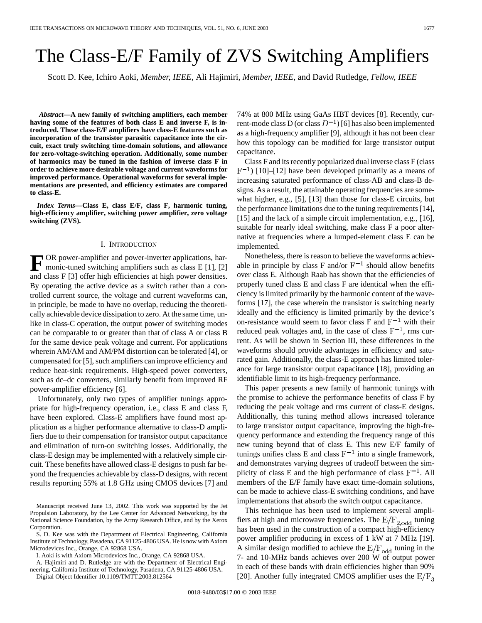# The Class-E/F Family of ZVS Switching Amplifiers

Scott D. Kee, Ichiro Aoki*, Member, IEEE*, Ali Hajimiri*, Member, IEEE*, and David Rutledge*, Fellow, IEEE*

*Abstract—***A new family of switching amplifiers, each member having some of the features of both class E and inverse F, is introduced. These class-E/F amplifiers have class-E features such as incorporation of the transistor parasitic capacitance into the circuit, exact truly switching time-domain solutions, and allowance for zero-voltage-switching operation. Additionally, some number of harmonics may be tuned in the fashion of inverse class F in order to achieve more desirable voltage and current waveforms for improved performance. Operational waveforms for several implementations are presented, and efficiency estimates are compared to class-E.**

*Index Terms—***Class E, class E/F, class F, harmonic tuning, high-efficiency amplifier, switching power amplifier, zero voltage switching (ZVS).**

#### I. INTRODUCTION

**F** OR power-amplifier and power-inverter applications, harmonic-tuned switching amplifiers such as class E [1], [2] and class F [3] offer high efficiencies at high power densities. By operating the active device as a switch rather than a controlled current source, the voltage and current waveforms can, in principle, be made to have no overlap, reducing the theoretically achievable device dissipation to zero. At the same time, unlike in class-C operation, the output power of switching modes can be comparable to or greater than that of class A or class B for the same device peak voltage and current. For applications wherein AM/AM and AM/PM distortion can be tolerated [4], or compensated for [5], such amplifiers can improve efficiency and reduce heat-sink requirements. High-speed power converters, such as dc–dc converters, similarly benefit from improved RF power-amplifier efficiency [6].

Unfortunately, only two types of amplifier tunings appropriate for high-frequency operation, i.e., class E and class F, have been explored. Class-E amplifiers have found most application as a higher performance alternative to class-D amplifiers due to their compensation for transistor output capacitance and elimination of turn-on switching losses. Additionally, the class-E design may be implemented with a relatively simple circuit. These benefits have allowed class-E designs to push far beyond the frequencies achievable by class-D designs, with recent results reporting 55% at 1.8 GHz using CMOS devices [7] and

I. Aoki is with Axiom Microdevices Inc., Orange, CA 92868 USA.

A. Hajimiri and D. Rutledge are with the Department of Electrical Engineering, California Institute of Technology, Pasadena, CA 91125-4806 USA.

Digital Object Identifier 10.1109/TMTT.2003.812564

74% at 800 MHz using GaAs HBT devices [8]. Recently, current-mode class D (or class  $D^{-1}$ ) [6] has also been implemented as a high-frequency amplifier [9], although it has not been clear how this topology can be modified for large transistor output capacitance.

Class F and its recently popularized dual inverse class F (class  $F^{-1}$ ) [10]–[12] have been developed primarily as a means of increasing saturated performance of class-AB and class-B designs. As a result, the attainable operating frequencies are somewhat higher, e.g., [5], [13] than those for class-E circuits, but the performance limitations due to the tuning requirements [14], [15] and the lack of a simple circuit implementation, e.g., [16], suitable for nearly ideal switching, make class F a poor alternative at frequencies where a lumped-element class E can be implemented.

Nonetheless, there is reason to believe the waveforms achievable in principle by class F and/or  $F^{-1}$  should allow benefits over class E. Although Raab has shown that the efficiencies of properly tuned class E and class F are identical when the efficiency is limited primarily by the harmonic content of the waveforms [17], the case wherein the transistor is switching nearly ideally and the efficiency is limited primarily by the device's on-resistance would seem to favor class F and  $\dot{F}^{-1}$  with their reduced peak voltages and, in the case of class  $F^{-1}$ , rms current. As will be shown in Section III, these differences in the waveforms should provide advantages in efficiency and saturated gain. Additionally, the class-E approach has limited tolerance for large transistor output capacitance [18], providing an identifiable limit to its high-frequency performance.

This paper presents a new family of harmonic tunings with the promise to achieve the performance benefits of class F by reducing the peak voltage and rms current of class-E designs. Additionally, this tuning method allows increased tolerance to large transistor output capacitance, improving the high-frequency performance and extending the frequency range of this new tuning beyond that of class E. This new E/F family of tunings unifies class E and class  $F^{-1}$  into a single framework, and demonstrates varying degrees of tradeoff between the simplicity of class E and the high performance of class  $F^{-1}$ . All members of the E/F family have exact time-domain solutions, can be made to achieve class-E switching conditions, and have implementations that absorb the switch output capacitance.

This technique has been used to implement several amplifiers at high and microwave frequencies. The  $E/F_{2,odd}$  tuning has been used in the construction of a compact high-efficiency power amplifier producing in excess of 1 kW at 7 MHz [19]. A similar design modified to achieve the  $E/F_{odd}$  tuning in the 7- and 10-MHz bands achieves over 200 W of output power in each of these bands with drain efficiencies higher than 90% [20]. Another fully integrated CMOS amplifier uses the  $E/F_3$ 

Manuscript received June 13, 2002. This work was supported by the Jet Propulsion Laboratory, by the Lee Center for Advanced Networking, by the National Science Foundation, by the Army Research Office, and by the Xerox Corporation.

S. D. Kee was with the Department of Electrical Engineering, California Institute of Technology, Pasadena, CA 91125-4806 USA. He is now with Axiom Microdevices Inc., Orange, CA 92868 USA.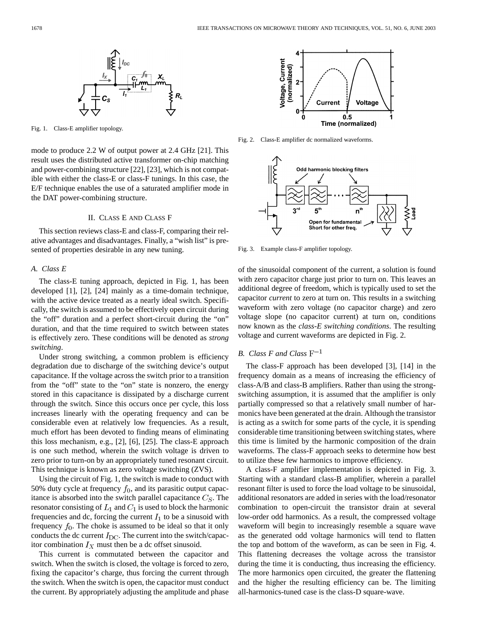

Fig. 1. Class-E amplifier topology.

mode to produce 2.2 W of output power at 2.4 GHz [21]. This result uses the distributed active transformer on-chip matching and power-combining structure [22], [23], which is not compatible with either the class-E or class-F tunings. In this case, the E/F technique enables the use of a saturated amplifier mode in the DAT power-combining structure.

## II. CLASS E AND CLASS F

This section reviews class-E and class-F, comparing their relative advantages and disadvantages. Finally, a "wish list" is presented of properties desirable in any new tuning.

## *A. Class E*

The class-E tuning approach, depicted in Fig. 1, has been developed [1], [2], [24] mainly as a time-domain technique, with the active device treated as a nearly ideal switch. Specifically, the switch is assumed to be effectively open circuit during the "off" duration and a perfect short-circuit during the "on" duration, and that the time required to switch between states is effectively zero. These conditions will be denoted as *strong switching*.

Under strong switching, a common problem is efficiency degradation due to discharge of the switching device's output capacitance. If the voltage across the switch prior to a transition from the "off" state to the "on" state is nonzero, the energy stored in this capacitance is dissipated by a discharge current through the switch. Since this occurs once per cycle, this loss increases linearly with the operating frequency and can be considerable even at relatively low frequencies. As a result, much effort has been devoted to finding means of eliminating this loss mechanism, e.g., [2], [6], [25]. The class-E approach is one such method, wherein the switch voltage is driven to zero prior to turn-on by an appropriately tuned resonant circuit. This technique is known as zero voltage switching (ZVS).

Using the circuit of Fig. 1, the switch is made to conduct with 50% duty cycle at frequency  $f_0$ , and its parasitic output capacitance is absorbed into the switch parallel capacitance  $C_S$ . The resonator consisting of  $L_1$  and  $C_1$  is used to block the harmonic frequencies and dc, forcing the current  $I_1$  to be a sinusoid with frequency  $f_0$ . The choke is assumed to be ideal so that it only conducts the dc current  $I_{\text{DC}}$ . The current into the switch/capacitor combination  $I_X$  must then be a dc offset sinusoid.

This current is commutated between the capacitor and switch. When the switch is closed, the voltage is forced to zero, fixing the capacitor's charge, thus forcing the current through the switch. When the switch is open, the capacitor must conduct the current. By appropriately adjusting the amplitude and phase



Fig. 2. Class-E amplifier dc normalized waveforms.



Fig. 3. Example class-F amplifier topology.

of the sinusoidal component of the current, a solution is found with zero capacitor charge just prior to turn on. This leaves an additional degree of freedom, which is typically used to set the capacitor *current* to zero at turn on. This results in a switching waveform with zero voltage (no capacitor charge) and zero voltage slope (no capacitor current) at turn on, conditions now known as the *class-E switching conditions*. The resulting voltage and current waveforms are depicted in Fig. 2.

# *B. Class F and Class*

The class-F approach has been developed [3], [14] in the frequency domain as a means of increasing the efficiency of class-A/B and class-B amplifiers. Rather than using the strongswitching assumption, it is assumed that the amplifier is only partially compressed so that a relatively small number of harmonics have been generated at the drain. Although the transistor is acting as a switch for some parts of the cycle, it is spending considerable time transitioning between switching states, where this time is limited by the harmonic composition of the drain waveforms. The class-F approach seeks to determine how best to utilize these few harmonics to improve efficiency.

A class-F amplifier implementation is depicted in Fig. 3. Starting with a standard class-B amplifier, wherein a parallel resonant filter is used to force the load voltage to be sinusoidal, additional resonators are added in series with the load/resonator combination to open-circuit the transistor drain at several low-order odd harmonics. As a result, the compressed voltage waveform will begin to increasingly resemble a square wave as the generated odd voltage harmonics will tend to flatten the top and bottom of the waveform, as can be seen in Fig. 4. This flattening decreases the voltage across the transistor during the time it is conducting, thus increasing the efficiency. The more harmonics open circuited, the greater the flattening and the higher the resulting efficiency can be. The limiting all-harmonics-tuned case is the class-D square-wave.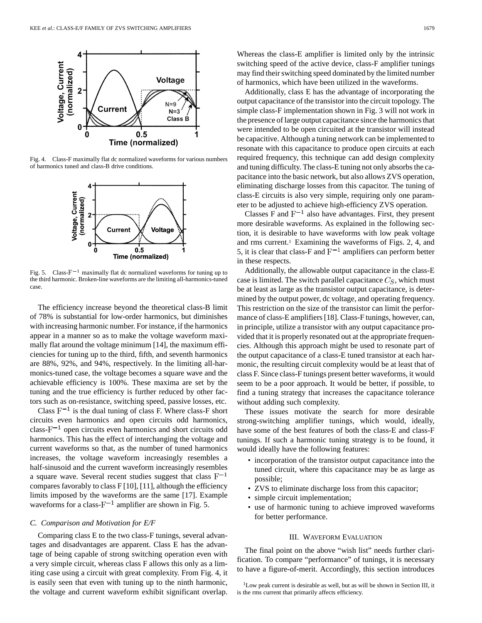

Fig. 4. Class-F maximally flat dc normalized waveforms for various numbers of harmonics tuned and class-B drive conditions.



Fig. 5. Class- $F^{-1}$  maximally flat dc normalized waveforms for tuning up to the third harmonic. Broken-line waveforms are the limiting all-harmonics-tuned case.

The efficiency increase beyond the theoretical class-B limit of 78% is substantial for low-order harmonics, but diminishes with increasing harmonic number. For instance, if the harmonics appear in a manner so as to make the voltage waveform maximally flat around the voltage minimum [14], the maximum efficiencies for tuning up to the third, fifth, and seventh harmonics are 88%, 92%, and 94%, respectively. In the limiting all-harmonics-tuned case, the voltage becomes a square wave and the achievable efficiency is 100%. These maxima are set by the tuning and the true efficiency is further reduced by other factors such as on-resistance, switching speed, passive losses, etc.

Class  $F^{-1}$  is the dual tuning of class F. Where class-F short circuits even harmonics and open circuits odd harmonics, class- $F^{-1}$  open circuits even harmonics and short circuits odd harmonics. This has the effect of interchanging the voltage and current waveforms so that, as the number of tuned harmonics increases, the voltage waveform increasingly resembles a half-sinusoid and the current waveform increasingly resembles a square wave. Several recent studies suggest that class  $F^{-1}$ compares favorably to class  $F[10]$ , [11], although the efficiency limits imposed by the waveforms are the same [17]. Example waveforms for a class- $F^{-1}$  amplifier are shown in Fig. 5.

### *C. Comparison and Motivation for E/F*

Comparing class E to the two class-F tunings, several advantages and disadvantages are apparent. Class E has the advantage of being capable of strong switching operation even with a very simple circuit, whereas class F allows this only as a limiting case using a circuit with great complexity. From Fig. 4, it is easily seen that even with tuning up to the ninth harmonic, the voltage and current waveform exhibit significant overlap. Whereas the class-E amplifier is limited only by the intrinsic switching speed of the active device, class-F amplifier tunings may find their switching speed dominated by the limited number of harmonics, which have been utilized in the waveforms.

Additionally, class E has the advantage of incorporating the output capacitance of the transistor into the circuit topology. The simple class-F implementation shown in Fig. 3 will not work in the presence of large output capacitance since the harmonics that were intended to be open circuited at the transistor will instead be capacitive. Although a tuning network can be implemented to resonate with this capacitance to produce open circuits at each required frequency, this technique can add design complexity and tuning difficulty. The class-E tuning not only absorbs the capacitance into the basic network, but also allows ZVS operation, eliminating discharge losses from this capacitor. The tuning of class-E circuits is also very simple, requiring only one parameter to be adjusted to achieve high-efficiency ZVS operation.

Classes F and  $F^{-1}$  also have advantages. First, they present more desirable waveforms. As explained in the following section, it is desirable to have waveforms with low peak voltage and rms current.1 Examining the waveforms of Figs. 2, 4, and 5, it is clear that class-F and  $F^{-1}$  amplifiers can perform better in these respects.

Additionally, the allowable output capacitance in the class-E case is limited. The switch parallel capacitance  $C_S$ , which must be at least as large as the transistor output capacitance, is determined by the output power, dc voltage, and operating frequency. This restriction on the size of the transistor can limit the performance of class-E amplifiers [18]. Class-F tunings, however, can, in principle, utilize a transistor with any output capacitance provided that it is properly resonated out at the appropriate frequencies. Although this approach might be used to resonate part of the output capacitance of a class-E tuned transistor at each harmonic, the resulting circuit complexity would be at least that of class F. Since class-F tunings present better waveforms, it would seem to be a poor approach. It would be better, if possible, to find a tuning strategy that increases the capacitance tolerance without adding such complexity.

These issues motivate the search for more desirable strong-switching amplifier tunings, which would, ideally, have some of the best features of both the class-E and class-F tunings. If such a harmonic tuning strategy is to be found, it would ideally have the following features:

- incorporation of the transistor output capacitance into the tuned circuit, where this capacitance may be as large as possible;
- ZVS to eliminate discharge loss from this capacitor;
- simple circuit implementation;
- use of harmonic tuning to achieve improved waveforms for better performance.

#### III. WAVEFORM EVALUATION

The final point on the above "wish list" needs further clarification. To compare "performance" of tunings, it is necessary to have a figure-of-merit. Accordingly, this section introduces

 $1$ Low peak current is desirable as well, but as will be shown in Section III, it is the rms current that primarily affects efficiency.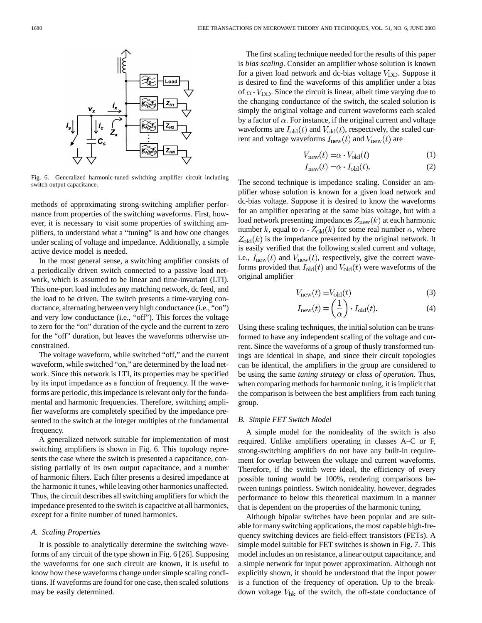

Fig. 6. Generalized harmonic-tuned switching amplifier circuit including switch output capacitance.

methods of approximating strong-switching amplifier performance from properties of the switching waveforms. First, however, it is necessary to visit some properties of switching amplifiers, to understand what a "tuning" is and how one changes under scaling of voltage and impedance. Additionally, a simple active device model is needed.

In the most general sense, a switching amplifier consists of a periodically driven switch connected to a passive load network, which is assumed to be linear and time-invariant (LTI). This one-port load includes any matching network, dc feed, and the load to be driven. The switch presents a time-varying conductance, alternating between very high conductance (i.e., "on") and very low conductance (i.e., "off"). This forces the voltage to zero for the "on" duration of the cycle and the current to zero for the "off" duration, but leaves the waveforms otherwise unconstrained.

The voltage waveform, while switched "off," and the current waveform, while switched "on," are determined by the load network. Since this network is LTI, its properties may be specified by its input impedance as a function of frequency. If the waveforms are periodic, this impedance is relevant only for the fundamental and harmonic frequencies. Therefore, switching amplifier waveforms are completely specified by the impedance presented to the switch at the integer multiples of the fundamental frequency.

A generalized network suitable for implementation of most switching amplifiers is shown in Fig. 6. This topology represents the case where the switch is presented a capacitance, consisting partially of its own output capacitance, and a number of harmonic filters. Each filter presents a desired impedance at the harmonic it tunes, while leaving other harmonics unaffected. Thus, the circuit describes all switching amplifiers for which the impedance presented to the switch is capacitive at all harmonics, except for a finite number of tuned harmonics.

### *A. Scaling Properties*

It is possible to analytically determine the switching waveforms of any circuit of the type shown in Fig. 6 [26]. Supposing the waveforms for one such circuit are known, it is useful to know how these waveforms change under simple scaling conditions. If waveforms are found for one case, then scaled solutions may be easily determined.

The first scaling technique needed for the results of this paper is *bias scaling*. Consider an amplifier whose solution is known for a given load network and dc-bias voltage  $V_{\text{DD}}$ . Suppose it is desired to find the waveforms of this amplifier under a bias of  $\alpha \cdot V_{\text{DD}}$ . Since the circuit is linear, albeit time varying due to the changing conductance of the switch, the scaled solution is simply the original voltage and current waveforms each scaled by a factor of  $\alpha$ . For instance, if the original current and voltage waveforms are  $I_{old}(t)$  and  $V_{old}(t)$ , respectively, the scaled current and voltage waveforms  $I_{\text{new}}(t)$  and  $V_{\text{new}}(t)$  are

$$
V_{\text{new}}(t) = \alpha \cdot V_{\text{old}}(t) \tag{1}
$$

$$
I_{\text{new}}(t) = \alpha \cdot I_{\text{old}}(t). \tag{2}
$$

The second technique is impedance scaling. Consider an amplifier whose solution is known for a given load network and dc-bias voltage. Suppose it is desired to know the waveforms for an amplifier operating at the same bias voltage, but with a load network presenting impedances  $Z_{\text{new}}(k)$  at each harmonic number k, equal to  $\alpha \cdot Z_{old}(k)$  for some real number  $\alpha$ , where  $Z_{old}(k)$  is the impedance presented by the original network. It is easily verified that the following scaled current and voltage, i.e.,  $I_{\text{new}}(t)$  and  $V_{\text{new}}(t)$ , respectively, give the correct waveforms provided that  $I_{old}(t)$  and  $V_{old}(t)$  were waveforms of the original amplifier

$$
V_{\text{new}}(t) = V_{\text{old}}(t) \tag{3}
$$

$$
I_{\text{new}}(t) = \left(\frac{1}{\alpha}\right) \cdot I_{\text{old}}(t). \tag{4}
$$

Using these scaling techniques, the initial solution can be transformed to have any independent scaling of the voltage and current. Since the waveforms of a group of thusly transformed tunings are identical in shape, and since their circuit topologies can be identical, the amplifiers in the group are considered to be using the same *tuning strategy* or *class of operation*. Thus, when comparing methods for harmonic tuning, it is implicit that the comparison is between the best amplifiers from each tuning group.

## *B. Simple FET Switch Model*

A simple model for the nonideality of the switch is also required. Unlike amplifiers operating in classes A–C or F, strong-switching amplifiers do not have any built-in requirement for overlap between the voltage and current waveforms. Therefore, if the switch were ideal, the efficiency of every possible tuning would be 100%, rendering comparisons between tunings pointless. Switch nonideality, however, degrades performance to below this theoretical maximum in a manner that is dependent on the properties of the harmonic tuning.

Although bipolar switches have been popular and are suitable for many switching applications, the most capable high-frequency switching devices are field-effect transistors (FETs). A simple model suitable for FET switches is shown in Fig. 7. This model includes an on resistance, a linear output capacitance, and a simple network for input power approximation. Although not explicitly shown, it should be understood that the input power is a function of the frequency of operation. Up to the breakdown voltage  $V_{\text{bk}}$  of the switch, the off-state conductance of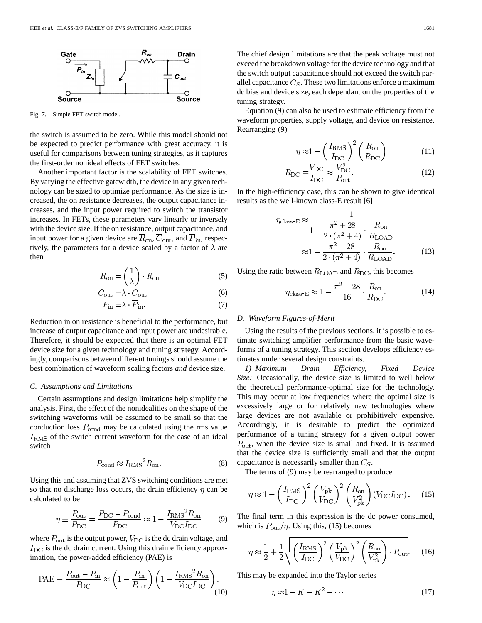

Fig. 7. Simple FET switch model.

the switch is assumed to be zero. While this model should not be expected to predict performance with great accuracy, it is useful for comparisons between tuning strategies, as it captures the first-order nonideal effects of FET switches.

Another important factor is the scalability of FET switches. By varying the effective gatewidth, the device in any given technology can be sized to optimize performance. As the size is increased, the on resistance decreases, the output capacitance increases, and the input power required to switch the transistor increases. In FETs, these parameters vary linearly or inversely with the device size. If the on resistance, output capacitance, and input power for a given device are  $\overline{R}_{on}$ ,  $\overline{C}_{out}$ , and  $\overline{P}_{in}$ , respectively, the parameters for a device scaled by a factor of  $\lambda$  are then

$$
R_{\rm on} = \left(\frac{1}{\lambda}\right) \cdot \overline{R}_{\rm on} \tag{5}
$$

$$
C_{\text{out}} = \lambda \cdot C_{\text{out}} \tag{6}
$$

$$
P_{\text{in}} = \lambda \cdot P_{\text{in}}.\tag{7}
$$

Reduction in on resistance is beneficial to the performance, but increase of output capacitance and input power are undesirable. Therefore, it should be expected that there is an optimal FET device size for a given technology and tuning strategy. Accordingly, comparisons between different tunings should assume the best combination of waveform scaling factors *and* device size.

#### *C. Assumptions and Limitations*

Certain assumptions and design limitations help simplify the analysis. First, the effect of the nonidealities on the shape of the switching waveforms will be assumed to be small so that the conduction loss  $P_{\text{cond}}$  may be calculated using the rms value  $I<sub>RMS</sub>$  of the switch current waveform for the case of an ideal switch

$$
P_{\text{cond}} \approx I_{\text{RMS}}^2 R_{\text{on}}.\tag{8}
$$

Using this and assuming that ZVS switching conditions are met so that no discharge loss occurs, the drain efficiency  $\eta$  can be calculated to be

$$
\eta \equiv \frac{P_{\text{out}}}{P_{\text{DC}}} = \frac{P_{\text{DC}} - P_{\text{cond}}}{P_{\text{DC}}} \approx 1 - \frac{I_{\text{RMS}}^2 R_{\text{on}}}{V_{\text{DC}} I_{\text{DC}}}
$$
(9)

where  $P_{\text{out}}$  is the output power,  $V_{\text{DC}}$  is the dc drain voltage, and  $I_{\text{DC}}$  is the dc drain current. Using this drain efficiency approximation, the power-added efficiency (PAE) is

$$
\text{PAE} \equiv \frac{P_{\text{out}} - P_{\text{in}}}{P_{\text{DC}}} \approx \left(1 - \frac{P_{\text{in}}}{P_{\text{out}}}\right) \left(1 - \frac{I_{\text{RMS}}^2 R_{\text{on}}}{V_{\text{DC}} I_{\text{DC}}}\right). \tag{10}
$$

Equation (9) can also be used to estimate efficiency from the waveform properties, supply voltage, and device on resistance. Rearranging (9)

$$
\eta \approx 1 - \left(\frac{I_{\text{RMS}}}{I_{\text{DC}}}\right)^2 \left(\frac{R_{\text{on}}}{R_{\text{DC}}}\right) \tag{11}
$$

$$
R_{\rm DC} \equiv \frac{V_{\rm DC}}{I_{\rm DC}} \approx \frac{V_{\rm DC}^2}{P_{\rm out}}.\tag{12}
$$

In the high-efficiency case, this can be shown to give identical results as the well-known class-E result [6]

$$
\eta_{\text{class-E}} \approx \frac{1}{1 + \frac{\pi^2 + 28}{2 \cdot (\pi^2 + 4)} \cdot \frac{R_{\text{on}}}{R_{\text{LOAD}}}}
$$

$$
\approx 1 - \frac{\pi^2 + 28}{2 \cdot (\pi^2 + 4)} \cdot \frac{R_{\text{on}}}{R_{\text{LOAD}}}. \tag{13}
$$

Using the ratio between  $R_{\text{LOAD}}$  and  $R_{\text{DC}}$ , this becomes

$$
\eta_{\text{class-E}} \approx 1 - \frac{\pi^2 + 28}{16} \cdot \frac{R_{\text{on}}}{R_{\text{DC}}}.\tag{14}
$$

#### *D. Waveform Figures-of-Merit*

tuning strategy.

Using the results of the previous sections, it is possible to estimate switching amplifier performance from the basic waveforms of a tuning strategy. This section develops efficiency estimates under several design constraints.

*1) Maximum Drain Efficiency, Fixed Device Size:* Occasionally, the device size is limited to well below the theoretical performance-optimal size for the technology. This may occur at low frequencies where the optimal size is excessively large or for relatively new technologies where large devices are not available or prohibitively expensive. Accordingly, it is desirable to predict the optimized performance of a tuning strategy for a given output power  $P_{\text{out}}$ , when the device size is small and fixed. It is assumed that the device size is sufficiently small and that the output capacitance is necessarily smaller than  $C_S$ .

The terms of (9) may be rearranged to produce

$$
\eta \approx 1 - \left(\frac{I_{\rm RMS}}{I_{\rm DC}}\right)^2 \left(\frac{V_{\rm pk}}{V_{\rm DC}}\right)^2 \left(\frac{R_{\rm on}}{V_{\rm pk}^2}\right) (V_{\rm DC} I_{\rm DC}) \,. \tag{15}
$$

The final term in this expression is the dc power consumed, which is  $P_{\text{out}}/\eta$ . Using this, (15) becomes

$$
\eta \approx \frac{1}{2} + \frac{1}{2} \sqrt{\left(\frac{I_{\text{RMS}}}{I_{\text{DC}}}\right)^2 \left(\frac{V_{\text{pk}}}{V_{\text{DC}}}\right)^2 \left(\frac{R_{\text{on}}}{V_{\text{pk}}^2}\right) \cdot P_{\text{out}}}.
$$
 (16)

This may be expanded into the Taylor series

$$
\eta \approx 1 - K - K^2 - \dots \tag{17}
$$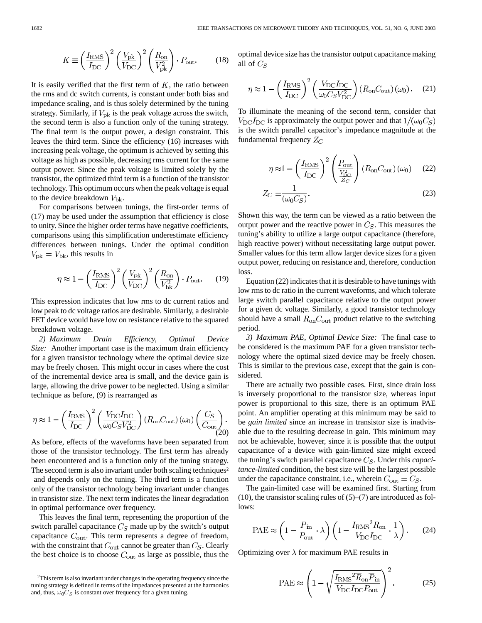$$
K \equiv \left(\frac{I_{\rm RMS}}{I_{\rm DC}}\right)^2 \left(\frac{V_{\rm pk}}{V_{\rm DC}}\right)^2 \left(\frac{R_{\rm on}}{V_{\rm pk}^2}\right) \cdot P_{\rm out}.\tag{18}
$$

It is easily verified that the first term of  $K$ , the ratio between the rms and dc switch currents, is constant under both bias and impedance scaling, and is thus solely determined by the tuning strategy. Similarly, if  $V_{\text{pk}}$  is the peak voltage across the switch, the second term is also a function only of the tuning strategy. The final term is the output power, a design constraint. This leaves the third term. Since the efficiency (16) increases with increasing peak voltage, the optimum is achieved by setting this voltage as high as possible, decreasing rms current for the same output power. Since the peak voltage is limited solely by the transistor, the optimized third term is a function of the transistor technology. This optimum occurs when the peak voltage is equal to the device breakdown  $V_{\text{bk}}$ .

For comparisons between tunings, the first-order terms of (17) may be used under the assumption that efficiency is close to unity. Since the higher order terms have negative coefficients, comparisons using this simplification underestimate efficiency differences between tunings. Under the optimal condition  $V_{\rm pk} = V_{\rm bk}$ , this results in

$$
\eta \approx 1 - \left(\frac{I_{\text{RMS}}}{I_{\text{DC}}}\right)^2 \left(\frac{V_{\text{pk}}}{V_{\text{DC}}}\right)^2 \left(\frac{R_{\text{on}}}{V_{\text{bk}}^2}\right) \cdot P_{\text{out}}.\tag{19}
$$

This expression indicates that low rms to dc current ratios and low peak to dc voltage ratios are desirable. Similarly, a desirable FET device would have low on resistance relative to the squared breakdown voltage.

*2) Maximum Drain Efficiency, Optimal Device Size:* Another important case is the maximum drain efficiency for a given transistor technology where the optimal device size may be freely chosen. This might occur in cases where the cost of the incremental device area is small, and the device gain is large, allowing the drive power to be neglected. Using a similar technique as before, (9) is rearranged as

$$
\eta \approx 1 - \left(\frac{I_{\text{RMS}}}{I_{\text{DC}}}\right)^2 \left(\frac{V_{\text{DC}}I_{\text{DC}}}{\omega_0 C_S V_{\text{DC}}^2}\right) \left(R_{\text{on}} C_{\text{out}}\right) (\omega_0) \left(\frac{C_S}{C_{\text{out}}}\right). \tag{20}
$$

As before, effects of the waveforms have been separated from those of the transistor technology. The first term has already been encountered and is a function only of the tuning strategy. The second term is also invariant under both scaling techniques<sup>2</sup> and depends only on the tuning. The third term is a function only of the transistor technology being invariant under changes in transistor size. The next term indicates the linear degradation in optimal performance over frequency.

This leaves the final term, representing the proportion of the switch parallel capacitance  $C_S$  made up by the switch's output capacitance  $C_{\text{out}}$ . This term represents a degree of freedom, with the constraint that  $C_{\text{out}}$  cannot be greater than  $C_S$ . Clearly the best choice is to choose  $C_{\text{out}}$  as large as possible, thus the optimal device size has the transistor output capacitance making all of  $C_S$ 

$$
\eta \approx 1 - \left(\frac{I_{\text{RMS}}}{I_{\text{DC}}}\right)^2 \left(\frac{V_{\text{DC}} I_{\text{DC}}}{\omega_0 C_S V_{\text{DC}}^2}\right) \left(R_{\text{on}} C_{\text{out}}\right) (\omega_0). \tag{21}
$$

To illuminate the meaning of the second term, consider that  $V_{\text{DC}}I_{\text{DC}}$  is approximately the output power and that  $1/(\omega_0 C_S)$ is the switch parallel capacitor's impedance magnitude at the fundamental frequency  $Z_C$ 

$$
\eta \approx 1 - \left(\frac{I_{\text{RMS}}}{I_{\text{DC}}}\right)^2 \left(\frac{P_{\text{out}}}{\frac{V_{\text{DC}}^2}{Z_C}}\right) \left(R_{\text{on}} C_{\text{out}}\right) (\omega_0) \tag{22}
$$

$$
Z_C \equiv \frac{1}{(\omega_0 C_S)}.\tag{23}
$$

Shown this way, the term can be viewed as a ratio between the output power and the reactive power in  $C_S$ . This measures the tuning's ability to utilize a large output capacitance (therefore, high reactive power) without necessitating large output power. Smaller values for this term allow larger device sizes for a given output power, reducing on resistance and, therefore, conduction loss.

Equation (22) indicates that it is desirable to have tunings with low rms to dc ratio in the current waveforms, and which tolerate large switch parallel capacitance relative to the output power for a given dc voltage. Similarly, a good transistor technology should have a small  $R_{on}C_{out}$  product relative to the switching period.

*3) Maximum PAE, Optimal Device Size:* The final case to be considered is the maximum PAE for a given transistor technology where the optimal sized device may be freely chosen. This is similar to the previous case, except that the gain is considered.

There are actually two possible cases. First, since drain loss is inversely proportional to the transistor size, whereas input power is proportional to this size, there is an optimum PAE point. An amplifier operating at this minimum may be said to be *gain limited* since an increase in transistor size is inadvisable due to the resulting decrease in gain. This minimum may not be achievable, however, since it is possible that the output capacitance of a device with gain-limited size might exceed the tuning's switch parallel capacitance  $C_S$ . Under this *capacitance-limited* condition, the best size will be the largest possible under the capacitance constraint, i.e., wherein  $C_{\text{out}} = C_S$ .

The gain-limited case will be examined first. Starting from (10), the transistor scaling rules of  $(5)$ – $(7)$  are introduced as follows:

$$
PAE \approx \left(1 - \frac{\overline{P}_{\text{in}}}{P_{\text{out}}} \cdot \lambda\right) \left(1 - \frac{I_{\text{RMS}}^2 \overline{R}_{\text{on}}}{V_{\text{DC}} I_{\text{DC}}} \cdot \frac{1}{\lambda}\right). \tag{24}
$$

Optimizing over  $\lambda$  for maximum PAE results in

$$
\text{PAE} \approx \left(1 - \sqrt{\frac{I_{\text{RMS}}^2 \overline{R}_{\text{on}} \overline{P}_{\text{in}}}{V_{\text{DC}} I_{\text{DC}} P_{\text{out}}}}\right)^2. \tag{25}
$$

<sup>2</sup>This term is also invariant under changes in the operating frequency since the tuning strategy is defined in terms of the impedances presented at the harmonics and, thus,  $\omega_0 C_S$  is constant over frequency for a given tuning.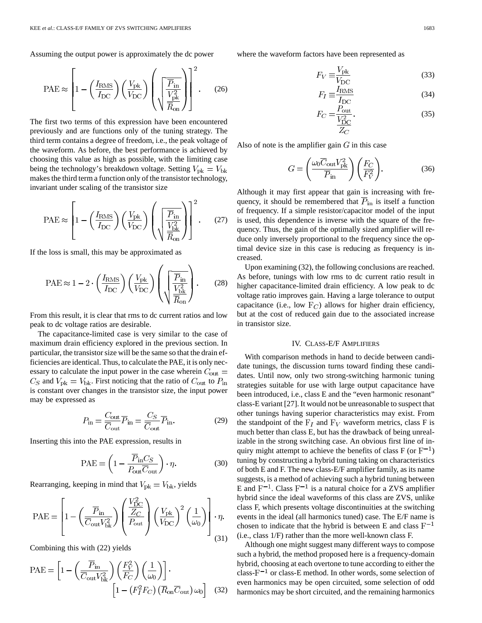Assuming the output power is approximately the dc power

$$
\text{PAE} \approx \left[1 - \left(\frac{I_{\text{RMS}}}{I_{\text{DC}}}\right) \left(\frac{V_{\text{pk}}}{V_{\text{DC}}}\right) \left(\sqrt{\frac{\overline{P}_{\text{in}}}{\frac{V_{\text{pk}}^2}{\overline{R}_{\text{on}}}}}\right)\right]^2. \tag{26}
$$

The first two terms of this expression have been encountered previously and are functions only of the tuning strategy. The third term contains a degree of freedom, i.e., the peak voltage of the waveform. As before, the best performance is achieved by choosing this value as high as possible, with the limiting case being the technology's breakdown voltage. Setting  $V_{\text{pk}} = V_{\text{bk}}$ makes the third term a function only of the transistor technology, invariant under scaling of the transistor size

$$
\text{PAE} \approx \left[1 - \left(\frac{I_{\text{RMS}}}{I_{\text{DC}}}\right) \left(\frac{V_{\text{pk}}}{V_{\text{DC}}}\right) \left(\sqrt{\frac{\overline{P}_{\text{in}}}{\frac{V_{\text{bk}}^2}{\overline{R}_{\text{on}}}}}\right)\right]^2. \tag{27}
$$

If the loss is small, this may be approximated as

$$
PAE \approx 1 - 2 \cdot \left(\frac{I_{\text{RMS}}}{I_{\text{DC}}}\right) \left(\frac{V_{\text{pk}}}{V_{\text{DC}}}\right) \left(\sqrt{\frac{\overline{P}_{\text{in}}}{\frac{V_{\text{bk}}^2}{\overline{R}_{\text{on}}}}}\right). \tag{28}
$$

From this result, it is clear that rms to dc current ratios and low peak to dc voltage ratios are desirable.

The capacitance-limited case is very similar to the case of maximum drain efficiency explored in the previous section. In particular, the transistor size will be the same so that the drain efficiencies are identical. Thus, to calculate the PAE, it is only necessary to calculate the input power in the case wherein  $C_{\text{out}} =$  $C_S$  and  $V_{\rm pk} = V_{\rm bk}$ . First noticing that the ratio of  $C_{\rm out}$  to  $P_{\rm in}$ is constant over changes in the transistor size, the input power may be expressed as

$$
P_{\rm in} = \frac{C_{\rm out}}{\overline{C}_{\rm out}} \overline{P}_{\rm in} = \frac{C_S}{\overline{C}_{\rm out}} \overline{P}_{\rm in}.
$$
 (29)

Inserting this into the PAE expression, results in

$$
PAE = \left(1 - \frac{\overline{P}_{in}C_S}{P_{out}\overline{C}_{out}}\right) \cdot \eta. \tag{30}
$$

Rearranging, keeping in mind that  $V_{\rm pk} = V_{\rm bk}$ , yields

$$
\text{PAE} = \left[1 - \left(\frac{\overline{P}_{\text{in}}}{\overline{C}_{\text{out}}V_{\text{bk}}^2}\right) \left(\frac{V_{\text{DC}}^2}{P_{\text{out}}}\right) \left(\frac{V_{\text{pk}}}{V_{\text{DC}}}\right)^2 \left(\frac{1}{\omega_0}\right)\right] \cdot \eta.
$$
\n(31)

Combining this with (22) yields

$$
PAE = \left[1 - \left(\frac{\overline{P}_{in}}{\overline{C}_{out}V_{bk}^2}\right)\left(\frac{F_V^2}{F_C}\right)\left(\frac{1}{\omega_0}\right)\right].
$$

$$
\left[1 - \left(F_I^2F_C\right)\left(\overline{R}_{on}\overline{C}_{out}\right)\omega_0\right] \quad (32)
$$

where the waveform factors have been represented as

$$
F_V \equiv \frac{V_{\rm pk}}{V_{\rm DC}}\tag{33}
$$

$$
F_I \equiv \frac{I_{\rm RMS}}{I_{\rm DC}}\tag{34}
$$

$$
F_C = \frac{P_{\text{out}}}{\frac{V_{\text{DC}}^2}{Z_C}}.
$$
\n(35)

Also of note is the amplifier gain  $G$  in this case

$$
G = \left(\frac{\omega_0 \overline{C}_{\text{out}} V_{\text{pk}}^2}{\overline{P}_{\text{in}}}\right) \left(\frac{F_C}{F_V^2}\right).
$$
 (36)

Although it may first appear that gain is increasing with frequency, it should be remembered that  $\overline{P}_{in}$  is itself a function of frequency. If a simple resistor/capacitor model of the input is used, this dependence is inverse with the square of the frequency. Thus, the gain of the optimally sized amplifier will reduce only inversely proportional to the frequency since the optimal device size in this case is reducing as frequency is increased.

Upon examining (32), the following conclusions are reached. As before, tunings with low rms to dc current ratio result in higher capacitance-limited drain efficiency. A low peak to dc voltage ratio improves gain. Having a large tolerance to output capacitance (i.e., low  $F_C$ ) allows for higher drain efficiency, but at the cost of reduced gain due to the associated increase in transistor size.

#### IV. CLASS-E/F AMPLIFIERS

With comparison methods in hand to decide between candidate tunings, the discussion turns toward finding these candidates. Until now, only two strong-switching harmonic tuning strategies suitable for use with large output capacitance have been introduced, i.e., class E and the "even harmonic resonant" class-E variant [27]. It would not be unreasonable to suspect that other tunings having superior characteristics may exist. From the standpoint of the  $F_I$  and  $F_V$  waveform metrics, class F is much better than class E, but has the drawback of being unrealizable in the strong switching case. An obvious first line of inquiry might attempt to achieve the benefits of class  $F$  (or  $F^{-1}$ ) tuning by constructing a hybrid tuning taking on characteristics of both E and F. The new class-E/F amplifier family, as its name suggests, is a method of achieving such a hybrid tuning between E and  $F^{-1}$ . Class  $F^{-1}$  is a natural choice for a ZVS amplifier hybrid since the ideal waveforms of this class are ZVS, unlike class F, which presents voltage discontinuities at the switching events in the ideal (all harmonics tuned) case. The E/F name is chosen to indicate that the hybrid is between E and class  $F^{-1}$ (i.e., class 1/F) rather than the more well-known class F.

Although one might suggest many different ways to compose such a hybrid, the method proposed here is a frequency-domain hybrid, choosing at each overtone to tune according to either the class- $F^{-1}$  or class-E method. In other words, some selection of even harmonics may be open circuited, some selection of odd harmonics may be short circuited, and the remaining harmonics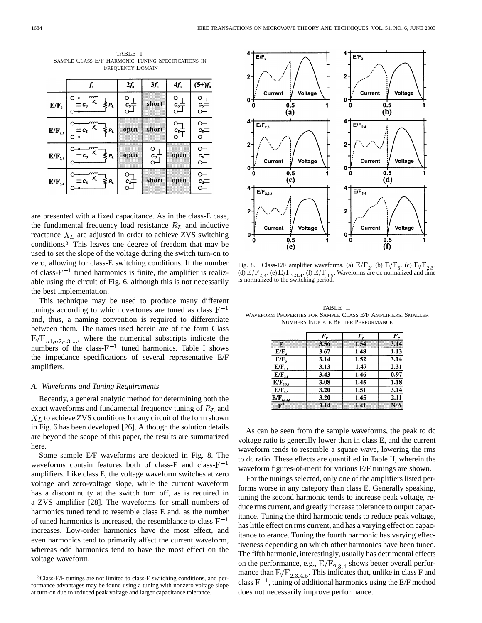TABLE I SAMPLE CLASS-E/F HARMONIC TUNING SPECIFICATIONS IN FREQUENCY DOMAIN

|                                                   | $\boldsymbol{f_{\rm o}}$                   | $2f_{o}$                        | $3f_{o}$                     | $4f_{o}$                                      | $(5+)f_0$ |
|---------------------------------------------------|--------------------------------------------|---------------------------------|------------------------------|-----------------------------------------------|-----------|
| $E/F_3$                                           | $\overrightarrow{X_L} \leq R_L$<br>$c_{s}$ | $c_{s}^{\perp}$                 | short                        | $c_{s}$                                       | $c_s =$   |
| $\mathbb{E}/\mathbb{F}_{2,3}$                     | $c_s$ $x_l$ $\geqslant$ $R_l$              | open                            | short                        | $\overset{c_{s}\scriptscriptstyle{-}}{\circ}$ | $c_{s-}$  |
| $\mathbf{E}/\mathbf{F}_{\mathbf{2,4}}$            | $c_s$ $x_l$ $\geqslant$ $R_l$              | open                            | $\overset{c_{s}\pm }{\circ}$ | open                                          | $c_{s}$   |
| $\mathbb{E}/\mathbb{F}_{\scriptscriptstyle{3,4}}$ | $C_s$ $X_t$ $\neq R_t$                     | $c_s$ <sup><math>+</math></sup> | short                        | open                                          | $c_{s}$ = |

are presented with a fixed capacitance. As in the class-E case, the fundamental frequency load resistance  $R_L$  and inductive reactance  $X_L$  are adjusted in order to achieve ZVS switching conditions.3 This leaves one degree of freedom that may be used to set the slope of the voltage during the switch turn-on to zero, allowing for class-E switching conditions. If the number of class- $F^{-1}$  tuned harmonics is finite, the amplifier is realizable using the circuit of Fig. 6, although this is not necessarily the best implementation.

This technique may be used to produce many different tunings according to which overtones are tuned as class  $F^{-1}$ and, thus, a naming convention is required to differentiate between them. The names used herein are of the form Class  $E/F_{n1,n2,n3,...}$ , where the numerical subscripts indicate the numbers of the class- $F^{-1}$  tuned harmonics. Table I shows the impedance specifications of several representative E/F amplifiers.

#### *A. Waveforms and Tuning Requirements*

Recently, a general analytic method for determining both the exact waveforms and fundamental frequency tuning of  $R_L$  and  $X_L$  to achieve ZVS conditions for any circuit of the form shown in Fig. 6 has been developed [26]. Although the solution details are beyond the scope of this paper, the results are summarized here.

Some sample E/F waveforms are depicted in Fig. 8. The waveforms contain features both of class-E and class- $F^{-1}$ amplifiers. Like class E, the voltage waveform switches at zero voltage and zero-voltage slope, while the current waveform has a discontinuity at the switch turn off, as is required in a ZVS amplifier [28]. The waveforms for small numbers of harmonics tuned tend to resemble class E and, as the number of tuned harmonics is increased, the resemblance to class  $F^{-1}$ increases. Low-order harmonics have the most effect, and even harmonics tend to primarily affect the current waveform, whereas odd harmonics tend to have the most effect on the voltage waveform.



Fig. 8. Class-E/F amplifier waveforms. (a)  $E/F_2$ . (b)  $E/F_3$ . (c)  $E/F_{2,3}$ . (d)  $E/F_{2,4}$ . (e)  $E/F_{2,3,4}$ . (f)  $E/F_{3,5}$ . Waveforms are dc normalized and time is normalized to the switching period.

TABLE II WAVEFORM PROPERTIES FOR SAMPLE CLASS E/F AMPLIFIERS. SMALLER NUMBERS INDICATE BETTER PERFORMANCE

|                 | $\bm{F}_{\nu}$ | F    | $F_c$ |  |
|-----------------|----------------|------|-------|--|
| F.              | 3.56           | 1.54 | 3.14  |  |
| E/F,            | 3.67           | 1.48 | 1.13  |  |
| $E/F$ ,         | 3.14           | 1.52 | 3.14  |  |
| $E/F_{2,3}$     | 3.13           | 1.47 | 2.31  |  |
| $E/F_{2,4}$     | 3.43           | 1.46 | 0.97  |  |
| $E/F_{2,3,4}$   | 3.08           | 1.45 | 1.18  |  |
| $E/F_{3,5}$     | 3.20           | 1.51 | 3.14  |  |
| $E/F_{2,3,4,5}$ | 3.20           | 1.45 | 2.11  |  |
| F               | 3.14           | 1.41 | N/A   |  |

As can be seen from the sample waveforms, the peak to dc voltage ratio is generally lower than in class E, and the current waveform tends to resemble a square wave, lowering the rms to dc ratio. These effects are quantified in Table II, wherein the waveform figures-of-merit for various E/F tunings are shown.

For the tunings selected, only one of the amplifiers listed performs worse in any category than class E. Generally speaking, tuning the second harmonic tends to increase peak voltage, reduce rms current, and greatly increase tolerance to output capacitance. Tuning the third harmonic tends to reduce peak voltage, has little effect on rms current, and has a varying effect on capacitance tolerance. Tuning the fourth harmonic has varying effectiveness depending on which other harmonics have been tuned. The fifth harmonic, interestingly, usually has detrimental effects on the performance, e.g.,  $E/F_{2,3,4}$  shows better overall performance than  $E/F_{2,3,4,5}$ . This indicates that, unlike in class F and class  $F^{-1}$ , tuning of additional harmonics using the E/F method does not necessarily improve performance.

<sup>3</sup>Class-E/F tunings are not limited to class-E switching conditions, and performance advantages may be found using a tuning with nonzero voltage slope at turn-on due to reduced peak voltage and larger capacitance tolerance.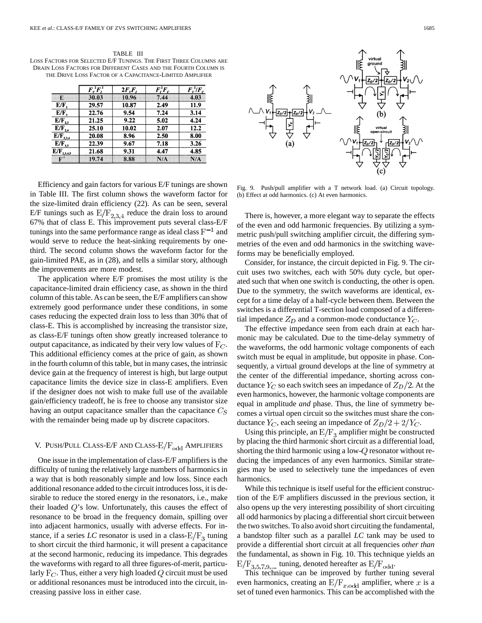TABLE III LOSS FACTORS FOR SELECTED E/F TUNINGS. THE FIRST THREE COLUMNS ARE DRAIN LOSS FACTORS FOR DIFFERENT CASES AND THE FOURTH COLUMN IS THE DRIVE LOSS FACTOR OF A CAPACITANCE-LIMITED AMPLIFIER

|                 | $\overline{F_{\nu}^{\,2}F_{I}^{\,2}}$ | $2F_vF_r$ | $\bm{F}_i^2\bm{F}_c$ | $\bm{F}_{\nu}^{\,2}/\bm{F}_{c}$ |
|-----------------|---------------------------------------|-----------|----------------------|---------------------------------|
| Ŧ.              | 30.03                                 | 10.96     | 7.44                 | 4.03                            |
| E/F,            | 29.57                                 | 10.87     | 2.49                 | 11.9                            |
| E/F.            | 22.76                                 | 9.54      | 7.24                 | 3.14                            |
| $E/F_{2,3}$     | 21.25                                 | 9.22      | 5.02                 | 4.24                            |
| $E/F_{24}$      | 25.10                                 | 10.02     | 2.07                 | 12.2                            |
| $E/F_{2,3,4}$   | 20.08                                 | 8.96      | 2.50                 | 8.00                            |
| $E/F_{3,5}$     | 22.39                                 | 9.67      | 7.18                 | 3.26                            |
| $E/F_{2,3,4,5}$ | 21.68                                 | 9.31      | 4.47                 | 4.85                            |
| $\mathbf{F}^1$  | 19.74                                 | 8.88      | NA                   | N/A                             |

Efficiency and gain factors for various E/F tunings are shown in Table III. The first column shows the waveform factor for the size-limited drain efficiency (22). As can be seen, several E/F tunings such as  $E/F_{2,3,4}$  reduce the drain loss to around 67% that of class E. This improvement puts several class-E/F tunings into the same performance range as ideal class  $F^{-1}$  and would serve to reduce the heat-sinking requirements by onethird. The second column shows the waveform factor for the gain-limited PAE, as in (28), and tells a similar story, although the improvements are more modest.

The application where E/F promises the most utility is the capacitance-limited drain efficiency case, as shown in the third column of this table. As can be seen, the E/F amplifiers can show extremely good performance under these conditions, in some cases reducing the expected drain loss to less than 30% that of class-E. This is accomplished by increasing the transistor size, as class-E/F tunings often show greatly increased tolerance to output capacitance, as indicated by their very low values of  $F_C$ . This additional efficiency comes at the price of gain, as shown in the fourth column of this table, but in many cases, the intrinsic device gain at the frequency of interest is high, but large output capacitance limits the device size in class-E amplifiers. Even if the designer does not wish to make full use of the available gain/efficiency tradeoff, he is free to choose any transistor size having an output capacitance smaller than the capacitance  $C_S$ with the remainder being made up by discrete capacitors.

## V. PUSH/PULL CLASS-E/F AND CLASS- $E/F_{odd}$  AMPLIFIERS

One issue in the implementation of class-E/F amplifiers is the difficulty of tuning the relatively large numbers of harmonics in a way that is both reasonably simple and low loss. Since each additional resonance added to the circuit introduces loss, it is desirable to reduce the stored energy in the resonators, i.e., make their loaded  $Q$ 's low. Unfortunately, this causes the effect of resonance to be broad in the frequency domain, spilling over into adjacent harmonics, usually with adverse effects. For instance, if a series *LC* resonator is used in a class- $E/F_3$  tuning to short circuit the third harmonic, it will present a capacitance at the second harmonic, reducing its impedance. This degrades the waveforms with regard to all three figures-of-merit, particularly  $F_C$ . Thus, either a very high loaded Q circuit must be used or additional resonances must be introduced into the circuit, increasing passive loss in either case.



Fig. 9. Push/pull amplifier with a T network load. (a) Circuit topology. (b) Effect at odd harmonics. (c) At even harmonics.

There is, however, a more elegant way to separate the effects of the even and odd harmonic frequencies. By utilizing a symmetric push/pull switching amplifier circuit, the differing symmetries of the even and odd harmonics in the switching waveforms may be beneficially employed.

Consider, for instance, the circuit depicted in Fig. 9. The circuit uses two switches, each with 50% duty cycle, but operated such that when one switch is conducting, the other is open. Due to the symmetry, the switch waveforms are identical, except for a time delay of a half-cycle between them. Between the switches is a differential T-section load composed of a differential impedance  $Z_D$  and a common-mode conductance  $Y_C$ .

The effective impedance seen from each drain at each harmonic may be calculated. Due to the time-delay symmetry of the waveforms, the odd harmonic voltage components of each switch must be equal in amplitude, but opposite in phase. Consequently, a virtual ground develops at the line of symmetry at the center of the differential impedance, shorting across conductance  $Y_C$  so each switch sees an impedance of  $Z_D/2$ . At the even harmonics, however, the harmonic voltage components are equal in amplitude *and* phase. Thus, the line of symmetry becomes a virtual open circuit so the switches must share the conductance  $Y_C$ , each seeing an impedance of  $Z_D/2 + 2/Y_C$ .

Using this principle, an  $E/F_3$  amplifier might be constructed by placing the third harmonic short circuit as a differential load, shorting the third harmonic using a low- $Q$  resonator without reducing the impedances of any even harmonics. Similar strategies may be used to selectively tune the impedances of even harmonics.

While this technique is itself useful for the efficient construction of the E/F amplifiers discussed in the previous section, it also opens up the very interesting possibility of short circuiting all odd harmonics by placing a differential short circuit between the two switches. To also avoid short circuiting the fundamental, a bandstop filter such as a parallel *LC* tank may be used to provide a differential short circuit at all frequencies *other than* the fundamental, as shown in Fig. 10. This technique yields an  $E/F_{3.5.7.9...}$  tuning, denoted hereafter as  $E/F_{odd}$ .

This technique can be improved by further tuning several even harmonics, creating an  $E/F_{x,odd}$  amplifier, where x is a set of tuned even harmonics. This can be accomplished with the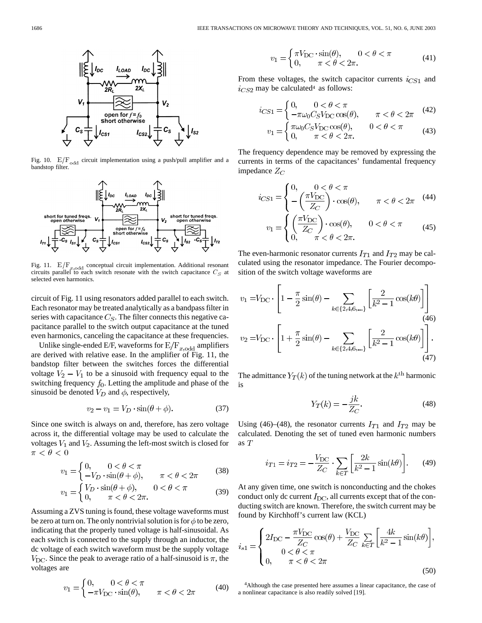

Fig. 10.  $E/F_{\text{odd}}$  circuit implementation using a push/pull amplifier and a bandstop filter.



Fig. 11.  $E/F_{rad}$  conceptual circuit implementation. Additional resonant circuits parallel to each switch resonate with the switch capacitance  $C_S$  at selected even harmonics.

circuit of Fig. 11 using resonators added parallel to each switch. Each resonator may be treated analytically as a bandpass filter in series with capacitance  $C_S$ . The filter connects this negative capacitance parallel to the switch output capacitance at the tuned even harmonics, canceling the capacitance at these frequencies.

Unlike single-ended E/F, waveforms for  $E/F_{x,odd}$  amplifiers are derived with relative ease. In the amplifier of Fig. 11, the bandstop filter between the switches forces the differential voltage  $V_2 - V_1$  to be a sinusoid with frequency equal to the switching frequency  $f_0$ . Letting the amplitude and phase of the sinusoid be denoted  $V_D$  and  $\phi$ , respectively,

$$
v_2 - v_1 = V_D \cdot \sin(\theta + \phi). \tag{37}
$$

Since one switch is always on and, therefore, has zero voltage across it, the differential voltage may be used to calculate the voltages  $V_1$  and  $V_2$ . Assuming the left-most switch is closed for  $\pi < \theta < 0$ 

$$
v_1 = \begin{cases} 0, & 0 < \theta < \pi \\ -V_D \cdot \sin(\theta + \phi), & \pi < \theta < 2\pi \end{cases} \tag{38}
$$

$$
v_1 = \begin{cases} V_D \cdot \sin(\theta + \phi), & 0 < \theta < \pi \\ 0, & \pi < \theta < 2\pi. \end{cases} \tag{39}
$$

Assuming a ZVS tuning is found, these voltage waveforms must be zero at turn on. The only nontrivial solution is for  $\phi$  to be zero, indicating that the properly tuned voltage is half-sinusoidal. As each switch is connected to the supply through an inductor, the dc voltage of each switch waveform must be the supply voltage  $V_{\text{DC}}$ . Since the peak to average ratio of a half-sinusoid is  $\pi$ , the voltages are

$$
v_1 = \begin{cases} 0, & 0 < \theta < \pi \\ -\pi V_{\text{DC}} \cdot \sin(\theta), & \pi < \theta < 2\pi \end{cases} \tag{40}
$$

$$
v_1 = \begin{cases} \pi V_{\text{DC}} \cdot \sin(\theta), & 0 < \theta < \pi \\ 0, & \pi < \theta < 2\pi. \end{cases} \tag{41}
$$

From these voltages, the switch capacitor currents  $i_{CS1}$  and  $i_{CS2}$  may be calculated<sup>4</sup> as follows:

$$
i_{CS1} = \begin{cases} 0, & 0 < \theta < \pi \\ -\pi \omega_0 C_S V_{\text{DC}} \cos(\theta), & \pi < \theta < 2\pi \end{cases} \tag{42}
$$

$$
v_1 = \begin{cases} \pi \omega_0 C_S V_{\text{DC}} \cos(\theta), & 0 < \theta < \pi \\ 0, & \pi < \theta < 2\pi. \end{cases}
$$
 (43)

The frequency dependence may be removed by expressing the currents in terms of the capacitances' fundamental frequency impedance  $Z_C$ 

$$
i_{CS1} = \begin{cases} 0, & 0 < \theta < \pi \\ -\left(\frac{\pi V_{\rm DC}}{Z_C}\right) \cdot \cos(\theta), & \pi < \theta < 2\pi \end{cases} \tag{44}
$$

$$
v_1 = \begin{cases} \left(\frac{\pi V_{\rm DC}}{Z_C}\right) \cdot \cos(\theta), & 0 < \theta < \pi\\ 0, & \pi < \theta < 2\pi. \end{cases}
$$
 (45)

The even-harmonic resonator currents  $I_{T1}$  and  $I_{T2}$  may be calculated using the resonator impedance. The Fourier decomposition of the switch voltage waveforms are

$$
v_1 = V_{\text{DC}} \cdot \left[ 1 - \frac{\pi}{2} \sin(\theta) - \sum_{k \in \{2, 4, 6, \dots\}} \left[ \frac{2}{k^2 - 1} \cos(k\theta) \right] \right]
$$
  
\n
$$
v_2 = V_{\text{DC}} \cdot \left[ 1 + \frac{\pi}{2} \sin(\theta) - \sum_{k \in \{2, 4, 6, \dots\}} \left[ \frac{2}{k^2 - 1} \cos(k\theta) \right] \right].
$$
  
\n(47)

The admittance  $Y_T(k)$  of the tuning network at the  $k^{\text{th}}$  harmonic is

$$
Y_T(k) = -\frac{jk}{Z_C}.\tag{48}
$$

Using (46)–(48), the resonator currents  $I_{T1}$  and  $I_{T2}$  may be calculated. Denoting the set of tuned even harmonic numbers as  $T$ 

$$
i_{T1} = i_{T2} = -\frac{V_{\rm DC}}{Z_C} \cdot \sum_{k \in T} \left[ \frac{2k}{k^2 - 1} \sin(k\theta) \right].
$$
 (49)

At any given time, one switch is nonconducting and the chokes conduct only dc current  $I_{\text{DC}}$ , all currents except that of the conducting switch are known. Therefore, the switch current may be found by Kirchhoff's current law (KCL)

$$
i_{s1} = \begin{cases} 2I_{\text{DC}} - \frac{\pi V_{\text{DC}}}{Z_C} \cos(\theta) + \frac{V_{\text{DC}}}{Z_C} \sum_{k \in T} \left[ \frac{4k}{k^2 - 1} \sin(k\theta) \right], \\ 0 < \theta < \pi \\ 0, \quad \pi < \theta < 2\pi \end{cases} \tag{50}
$$

4Although the case presented here assumes a linear capacitance, the case of a nonlinear capacitance is also readily solved [19].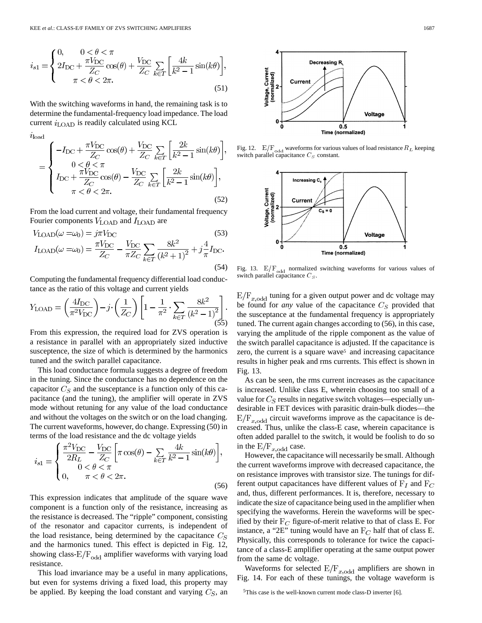$$
i_{s1} = \begin{cases} 0, & 0 < \theta < \pi \\ 2I_{\text{DC}} + \frac{\pi V_{\text{DC}}}{Z_C} \cos(\theta) + \frac{V_{\text{DC}}}{Z_C} \sum_{k \in T} \left[ \frac{4k}{k^2 - 1} \sin(k\theta) \right], \\ \pi < \theta < 2\pi. \end{cases}
$$
\n(51)

With the switching waveforms in hand, the remaining task is to determine the fundamental-frequency load impedance. The load current  $i_{\text{LOAD}}$  is readily calculated using KCL

 $i$ load

$$
= \begin{cases}\n-I_{\rm DC} + \frac{\pi V_{\rm DC}}{Z_C} \cos(\theta) + \frac{V_{\rm DC}}{Z_C} \sum_{k \in T} \left[ \frac{2k}{k^2 - 1} \sin(k\theta) \right], \\
0 < \theta < \pi \\
I_{\rm DC} + \frac{\pi V_{\rm DC}}{Z_C} \cos(\theta) - \frac{V_{\rm DC}}{Z_C} \sum_{k \in T} \left[ \frac{2k}{k^2 - 1} \sin(k\theta) \right], \\
\pi < \theta < 2\pi.\n\end{cases}
$$
\n
$$
(52)
$$

From the load current and voltage, their fundamental frequency Fourier components  $V_{\text{LOAD}}$  and  $I_{\text{LOAD}}$  are

$$
V_{\text{LOAD}}(\omega = \omega_0) = j\pi V_{\text{DC}} \tag{53}
$$
  
\n
$$
I_{\text{LOAD}}(\omega = \omega_0) = \frac{\pi V_{\text{DC}}}{Z_C} - \frac{V_{\text{DC}}}{\pi Z_C} \sum_{k \in T} \frac{8k^2}{(k^2 + 1)^2} + j\frac{4}{\pi} I_{\text{DC}}.
$$
  
\n(54)

Computing the fundamental frequency differential load conductance as the ratio of this voltage and current yields

$$
Y_{\text{LOAD}} = \left(\frac{4I_{\text{DC}}}{\pi^2 V_{\text{DC}}}\right) - j \cdot \left(\frac{1}{Z_C}\right) \left[1 - \frac{1}{\pi^2} \cdot \sum_{k \in T} \frac{8k^2}{\left(k^2 - 1\right)^2}\right].
$$

From this expression, the required load for ZVS operation is a resistance in parallel with an appropriately sized inductive susceptence, the size of which is determined by the harmonics tuned and the switch parallel capacitance.

This load conductance formula suggests a degree of freedom in the tuning. Since the conductance has no dependence on the capacitor  $C_S$  and the susceptance is a function only of this capacitance (and the tuning), the amplifier will operate in ZVS mode without retuning for any value of the load conductance and without the voltages on the switch or on the load changing. The current waveforms, however, do change. Expressing (50) in terms of the load resistance and the dc voltage yields

$$
i_{s1} = \begin{cases} \frac{\pi^2 V_{\text{DC}}}{2R_L} - \frac{V_{\text{DC}}}{Z_C} \left[ \pi \cos(\theta) - \sum_{k \in T} \frac{4k}{k^2 - 1} \sin(k\theta) \right], \\ 0 < \theta < \pi \\ 0, \qquad \pi < \theta < 2\pi. \end{cases} \tag{56}
$$

This expression indicates that amplitude of the square wave component is a function only of the resistance, increasing as the resistance is decreased. The "ripple" component, consisting of the resonator and capacitor currents, is independent of the load resistance, being determined by the capacitance  $C_S$ and the harmonics tuned. This effect is depicted in Fig. 12, showing class- $E/F_{odd}$  amplifier waveforms with varying load resistance.

This load invariance may be a useful in many applications, but even for systems driving a fixed load, this property may be applied. By keeping the load constant and varying  $C_S$ , an



Fig. 12.  $E/F_{\text{odd}}$  waveforms for various values of load resistance  $R_L$  keeping switch parallel capacitance  $C_S$  constant.



Fig. 13.  $E/F_{odd}$  normalized switching waveforms for various values of switch parallel capacitance  $C_S$ .

 $E/F_{x,odd}$  tuning for a given output power and dc voltage may be found for *any* value of the capacitance  $C_S$  provided that the susceptance at the fundamental frequency is appropriately tuned. The current again changes according to (56), in this case, varying the amplitude of the ripple component as the value of the switch parallel capacitance is adjusted. If the capacitance is zero, the current is a square wave<sup>5</sup> and increasing capacitance results in higher peak and rms currents. This effect is shown in Fig. 13.

As can be seen, the rms current increases as the capacitance is increased. Unlike class E, wherein choosing too small of a value for  $C_S$  results in negative switch voltages—especially undesirable in FET devices with parasitic drain-bulk diodes—the  $E/F_{x,odd}$  circuit waveforms improve as the capacitance is decreased. Thus, unlike the class-E case, wherein capacitance is often added parallel to the switch, it would be foolish to do so in the  $E/F_{x,odd}$  case.

However, the capacitance will necessarily be small. Although the current waveforms improve with decreased capacitance, the on resistance improves with transistor size. The tunings for different output capacitances have different values of  $F_I$  and  $F_C$ and, thus, different performances. It is, therefore, necessary to indicate the size of capacitance being used in the amplifier when specifying the waveforms. Herein the waveforms will be specified by their  $F_C$  figure-of-merit relative to that of class E. For instance, a "2E" tuning would have an  $F_C$  half that of class E. Physically, this corresponds to tolerance for twice the capacitance of a class-E amplifier operating at the same output power from the same dc voltage.

Waveforms for selected  $E/F_{x,odd}$  amplifiers are shown in Fig. 14. For each of these tunings, the voltage waveform is

<sup>5</sup>This case is the well-known current mode class-D inverter [6].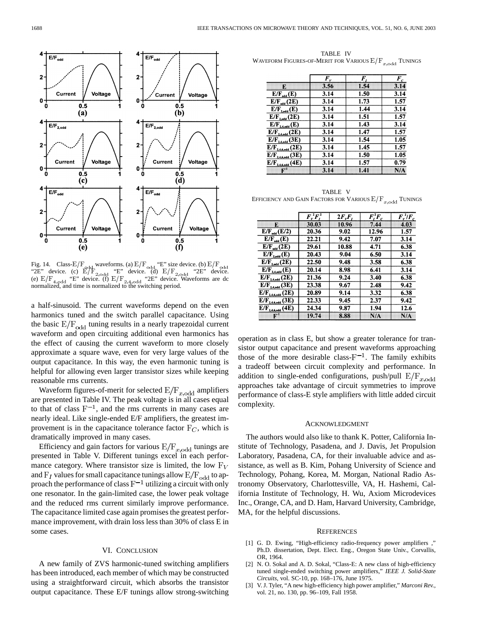

Fig. 14. Class- $E/F_{\text{odd}}$  waveforms. (a)  $E/F_{\text{odd}}$  "E" size device. (b)  $E/F$ "2E" device. (c)  $E/F_{2 \text{ odd}}$  "E" device. (d)  $E/F_{2 \text{ odd}}$  "2E" device. (e)  $E/F_{4.0}$  "E" device. (f)  $E/F_{2.4.0}$  "2E" device. Waveforms are dc normalized, and time is normalized to the switching period.

a half-sinusoid. The current waveforms depend on the even harmonics tuned and the switch parallel capacitance. Using the basic  $E/F_{odd}$  tuning results in a nearly trapezoidal current waveform and open circuiting additional even harmonics has the effect of causing the current waveform to more closely approximate a square wave, even for very large values of the output capacitance. In this way, the even harmonic tuning is helpful for allowing even larger transistor sizes while keeping reasonable rms currents.

Waveform figures-of-merit for selected  $E/F_{x,odd}$  amplifiers are presented in Table IV. The peak voltage is in all cases equal to that of class  $F^{-1}$ , and the rms currents in many cases are nearly ideal. Like single-ended E/F amplifiers, the greatest improvement is in the capacitance tolerance factor  $F_C$ , which is dramatically improved in many cases.

Efficiency and gain factors for various  $E/F_{x,odd}$  tunings are presented in Table V. Different tunings excel in each performance category. Where transistor size is limited, the low  $F_V$ and  $F_I$  values for small capacitance tunings allow  $E/F_{\text{odd}}$  to approach the performance of class  $F^{-1}$  utilizing a circuit with only one resonator. In the gain-limited case, the lower peak voltage and the reduced rms current similarly improve performance. The capacitance limited case again promises the greatest performance improvement, with drain loss less than 30% of class E in some cases.

## VI. CONCLUSION

A new family of ZVS harmonic-tuned switching amplifiers has been introduced, each member of which may be constructed using a straightforward circuit, which absorbs the transistor output capacitance. These E/F tunings allow strong-switching

TABLE IV WAVEFORM FIGURES-OF-MERIT FOR VARIOUS  $E/F_{x, \text{odd}}$  TUNINGS

|                        | $\bm{F}_{\nu}$ | F.   | $F_c$ |
|------------------------|----------------|------|-------|
| E.                     | 3.56           | 1.54 | 3.14  |
| $E/F_{odd}(E)$         | 3.14           | 1.50 | 3.14  |
| $E/F_{\text{ad}}(2E)$  | 3.14           | 1.73 | 1.57  |
| $E/F_{2,odd}(E)$       | 3.14           | 1.44 | 3.14  |
| $E/F_{2,odd}$ (2E)     | 3.14           | 1.51 | 1.57  |
| $E/F_{2,4,odd}(E)$     | 3.14           | 1.43 | 3.14  |
| $E/F_{24,odd}$ (2E)    | 3.14           | 1.47 | 1.57  |
| $E/F_{2,4,odd}(3E)$    | 3.14           | 1.54 | 1.05  |
| $E/F_{2,4,6,odd}$ (2E) | 3.14           | 1.45 | 1.57  |
| $E/F_{2,4,6,odd}$ (3E) | 3.14           | 1.50 | 1.05  |
| $E/F_{2,4,6,odd}(4E)$  | 3.14           | 1.57 | 0.79  |
| Г.                     | 3.14           | 1.41 | N/A   |

TABLE V EFFICIENCY AND GAIN FACTORS FOR VARIOUS  $\mathbb{E}/\mathcal{F}_{x, \mathrm{odd}}$  TUNINGS

|                           | $\overline{F_{\nu}^{\,2}F_{\nu}^{\,2}}$ | $2F_vF_v$ | $\bm{F}_i^2\bm{F}_c$ | $\bm{F}_{\nu}^{\,2}/\bm{F}_{c}$ |
|---------------------------|-----------------------------------------|-----------|----------------------|---------------------------------|
| ю                         | 30.03                                   | 10.96     | 7.44                 | 4.03                            |
| $E/F_{\text{odd}}(E/2)$   | 20.36                                   | 9.02      | 12.96                | 1.57                            |
| $E/F_{\text{ad}}(E)$      | 22.21                                   | 9.42      | 7.07                 | 3.14                            |
| $E/F_{rad}(2E)$           | 29.61                                   | 10.88     | 4.71                 | 6.38                            |
| $E/F_{2,odd}(E)$          | 20.43                                   | 9.04      | 6.50                 | 3.14                            |
| $E/F_{2,odd}(2E)$         | 22.50                                   | 9.48      | 3.58                 | 6.38                            |
| $E/F_{2,4,odd}(E)$        | 20.14                                   | 8.98      | 6.41                 | 3.14                            |
| $E/F_{24,odd}$ (2E)       | 21.36                                   | 9.24      | 3.40                 | 6.38                            |
| $E/F_{2,4,odd}$ (3E)      | 23.38                                   | 9.67      | 2.48                 | 9.42                            |
| $E/F_{2,4,6,odd}$ (2E)    | 20.89                                   | 9.14      | 3.32                 | 6.38                            |
| $E/F_{2.4.6.odd}$ (3E)    | 22.33                                   | 9.45      | 2.37                 | 9.42                            |
| $E/F_{2,4,6,odd}(4E)$     | 24.34                                   | 9.87      | 1.94                 | 12.6                            |
| $\mathbf{E}^{\mathbf{t}}$ | 19.74                                   | 8.88      | NA                   | N/A                             |

operation as in class E, but show a greater tolerance for transistor output capacitance and present waveforms approaching those of the more desirable class- $F^{-1}$ . The family exhibits a tradeoff between circuit complexity and performance. In addition to single-ended configurations, push/pull  $E/F_{x,odd}$ approaches take advantage of circuit symmetries to improve performance of class-E style amplifiers with little added circuit complexity.

#### ACKNOWLEDGMENT

The authors would also like to thank K. Potter, California Institute of Technology, Pasadena, and J. Davis, Jet Propulsion Laboratory, Pasadena, CA, for their invaluable advice and assistance, as well as B. Kim, Pohang University of Science and Technology, Pohang, Korea, M. Morgan, National Radio Astronomy Observatory, Charlottesville, VA, H. Hashemi, California Institute of Technology, H. Wu, Axiom Microdevices Inc., Orange, CA, and D. Ham, Harvard University, Cambridge, MA, for the helpful discussions.

#### **REFERENCES**

- [1] G. D. Ewing, "High-efficiency radio-frequency power amplifiers ," Ph.D. dissertation, Dept. Elect. Eng., Oregon State Univ., Corvallis, OR, 1964.
- [2] N. O. Sokal and A. D. Sokal, "Class-E: A new class of high-efficiency tuned single-ended switching power amplifiers," *IEEE J. Solid-State Circuits*, vol. SC-10, pp. 168–176, June 1975.
- [3] V. J. Tyler, "A new high-efficiency high power amplifier," *Marconi Rev.*, vol. 21, no. 130, pp. 96–109, Fall 1958.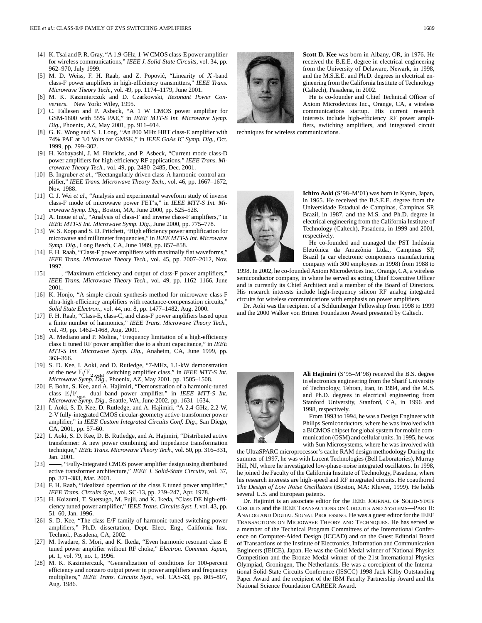- [4] K. Tsai and P. R. Gray, "A 1.9-GHz, 1-W CMOS class-E power amplifier for wireless communications," *IEEE J. Solid-State Circuits*, vol. 34, pp. 962–970, July 1999.
- [5] M. D. Weiss, F. H. Raab, and Z. Popović, "Linearity of  $X$ -band class-F power amplifiers in high-efficiency transmitters," *IEEE Trans. Microwave Theory Tech.*, vol. 49, pp. 1174–1179, June 2001.
- [6] M. K. Kazimierczuk and D. Czarkowski, *Resonant Power Converters*. New York: Wiley, 1995.
- [7] C. Fallesen and P. Asbeck, "A 1 W CMOS power amplifier for GSM-1800 with 55% PAE," in *IEEE MTT-S Int. Microwave Symp. Dig.*, Phoenix, AZ, May 2001, pp. 911–914.
- [8] G. K. Wong and S. I. Long, "An 800 MHz HBT class-E amplifier with 74% PAE at 3.0 Volts for GMSK," in *IEEE GaAs IC Symp. Dig.*, Oct. 1999, pp. 299–302.
- [9] H. Kobayashi, J. M. Hinrichs, and P. Asbeck, "Current mode class-D power amplifiers for high efficiency RF applications," *IEEE Trans. Microwave Theory Tech.*, vol. 49, pp. 2480–2485, Dec. 2001.
- [10] B. Ingruber et al., "Rectangularly driven class-A harmonic-control amplifier," *IEEE Trans. Microwave Theory Tech.*, vol. 46, pp. 1667–1672, Nov. 1988.
- [11] C. J. Wei *et al.*, "Analysis and experimental waveform study of inverse class-F mode of microwave power FET's," in *IEEE MTT-S Int. Microwave Symp. Dig.*, Boston, MA, June 2000, pp. 525–528.
- [12] A. Inoue *et al.*, "Analysis of class-F and inverse class-F amplifiers," in *IEEE MTT-S Int. Microwave Symp. Dig.*, June 2000, pp. 775–778.
- [13] W. S. Kopp and S. D. Pritchett, "High efficiency power amplification for microwave and millimeter frequencies," in *IEEE MTT-S Int. Microwave Symp. Dig.*, Long Beach, CA, June 1989, pp. 857–858.
- [14] F. H. Raab, "Class-F power amplifiers with maximally flat waveforms," *IEEE Trans. Microwave Theory Tech.*, vol. 45, pp. 2007–2012, Nov. 1997.
- [15]  $\frac{15}{2}$ , "Maximum efficiency and output of class-F power amplifiers," *IEEE Trans. Microwave Theory Tech.*, vol. 49, pp. 1162–1166, June 2001.
- [16] K. Honjo, "A simple circuit synthesis method for microwave class-F ultra-high-efficiency amplifiers with reactance-compensation circuits," *Solid State Electron.*, vol. 44, no. 8, pp. 1477–1482, Aug. 2000.
- [17] F. H. Raab, "Class-E, class-C, and class-F power amplifiers based upon a finite number of harmonics," *IEEE Trans. Microwave Theory Tech.*, vol. 49, pp. 1462–1468, Aug. 2001.
- [18] A. Mediano and P. Molina, "Frequency limitation of a high-efficiency class E tuned RF power amplifier due to a shunt capacitance," in *IEEE MTT-S Int. Microwave Symp. Dig.*, Anaheim, CA, June 1999, pp. 363–366.
- [19] S. D. Kee, I. Aoki, and D. Rutledge, "7-MHz, 1.1-kW demonstration of the new  $E/F_{2,odd}$  switching amplifier class," in *IEEE MTT-S Int*. *Microwave Symp. Dig.*, Phoenix, AZ, May 2001, pp. 1505–1508.
- [20] F. Bohn, S. Kee, and A. Hajimiri, "Demonstration of a harmonic-tuned class  $E/F_{\text{odd}}$  dual band power amplifier," in *IEEE MTT-S Int. Microwave Symp. Dig.*, Seattle, WA, June 2002, pp. 1631–1634.
- [21] I. Aoki, S. D. Kee, D. Rutledge, and A. Hajimiri, "A 2.4-GHz, 2.2-W, 2-V fully-integrated CMOS circular-geometry active-transformer power amplifier," in *IEEE Custom Integrated Circuits Conf. Dig.*, San Diego, CA, 2001, pp. 57–60.
- [22] I. Aoki, S. D. Kee, D. B. Rutledge, and A. Hajimiri, "Distributed active transformer: A new power combining and impedance transformation technique," *IEEE Trans. Microwave Theory Tech.*, vol. 50, pp. 316–331, Jan. 2001.
- [23]  $\frac{1}{2}$ , "Fully-Integrated CMOS power amplifier design using distributed active transformer architecture," *IEEE J. Solid-State Circuits*, vol. 37, pp. 371–383, Mar. 2001.
- [24] F. H. Raab, "Idealized operation of the class E tuned power amplifier," *IEEE Trans. Circuits Syst.*, vol. SC-13, pp. 239–247, Apr. 1978.
- [25] H. Koizumi, T. Suetsugo, M. Fujii, and K. Ikeda, "Class DE high-efficiency tuned power amplifier," *IEEE Trans. Circuits Syst. I*, vol. 43, pp. 51–60, Jan. 1996.
- [26] S. D. Kee, "The class E/F family of harmonic-tuned switching power amplifiers," Ph.D. dissertation, Dept. Elect. Eng., California Inst. Technol., Pasadena, CA, 2002.
- [27] M. Iwadare, S. Mori, and K. Ikeda, "Even harmonic resonant class E tuned power amplifier without RF choke," *Electron. Commun. Japan*, pt. 1, vol. 79, no. 1, 1996.
- [28] M. K. Kazimierczuk, "Generalization of conditions for 100-percent efficiency and nonzero output power in power amplifiers and frequency multipliers," *IEEE Trans. Circuits Syst.*, vol. CAS-33, pp. 805–807, Aug. 1986.



**Scott D. Kee** was born in Albany, OR, in 1976. He received the B.E.E. degree in electrical engineering from the University of Delaware, Newark, in 1998, and the M.S.E.E. and Ph.D. degrees in electrical engineering from the California Institute of Technology (Caltech), Pasadena, in 2002.

He is co-founder and Chief Technical Officer of Axiom Microdevices Inc., Orange, CA, a wireless communications startup. His current research interests include high-efficiency RF power amplifiers, switching amplifiers, and integrated circuit

techniques for wireless communications.



**Ichiro Aoki** (S'98–M'01) was born in Kyoto, Japan, in 1965. He received the B.S.E.E. degree from the Universidade Estadual de Campinas, Campinas SP, Brazil, in 1987, and the M.S. and Ph.D. degree in electrical engineering from the California Institute of Technology (Caltech), Pasadena, in 1999 and 2001, respectively.

He co-founded and managed the PST Indústria Eletrônica da Amazônia Ltda., Campinas SP, Brazil (a car electronic components manufacturing company with 300 employees in 1998) from 1988 to

1998. In 2002, he co-founded Axiom Microdevices Inc., Orange, CA, a wireless semiconductor company, in where he served as acting Chief Executive Officer and is currently its Chief Architect and a member of the Board of Directors. His research interests include high-frequency silicon RF analog integrated circuits for wireless communications with emphasis on power amplifiers.

Dr. Aoki was the recipient of a Schlumberger Fellowship from 1998 to 1999 and the 2000 Walker von Brimer Foundation Award presented by Caltech.



**Ali Hajimiri** (S'95–M'98) received the B.S. degree in electronics engineering from the Sharif University of Technology, Tehran, Iran, in 1994, and the M.S. and Ph.D. degrees in electrical engineering from Stanford University, Stanford, CA, in 1996 and 1998, respectively.

From 1993 to 1994, he was a Design Engineer with Philips Semiconductors, where he was involved with a BiCMOS chipset for global system for mobile communication (GSM) and cellular units. In 1995, he was with Sun Microsystems, where he was involved with

the UltraSPARC microprocessor's cache RAM design methodology During the summer of 1997, he was with Lucent Technologies (Bell Laboratories), Murray Hill, NJ, where he investigated low-phase-noise integrated oscillators. In 1998, he joined the Faculty of the California Institute of Technology, Pasadena, where his research interests are high-speed and RF integrated circuits. He coauthored *The Design of Low Noise Oscillators* (Boston, MA: Kluwer, 1999). He holds several U.S. and European patents.

Dr. Hajimiri is an associate editor for the IEEE JOURNAL OF SOLID-STATE CIRCUITS and the IEEE TRANSACTIONS ON CIRCUITS AND SYSTEMS—PART II: ANALOG AND DIGITAL SIGNAL PROCESSING. He was a guest editor for the IEEE TRANSACTIONS ON MICROWAVE THEORY AND TECHNIQUES. He has served as a member of the Technical Program Committees of the International Conference on Computer-Aided Design (ICCAD) and on the Guest Editorial Board of Transactions of the Institute of Electronics, Information and Communication Engineers (IEICE), Japan. He was the Gold Medal winner of National Physics Competition and the Bronze Medal winner of the 21st International Physics Olympiad, Groningen, The Netherlands. He was a corecipient of the International Solid-State Circuits Conference (ISSCC) 1998 Jack Kilby Outstanding Paper Award and the recipient of the IBM Faculty Partnership Award and the National Science Foundation CAREER Award.